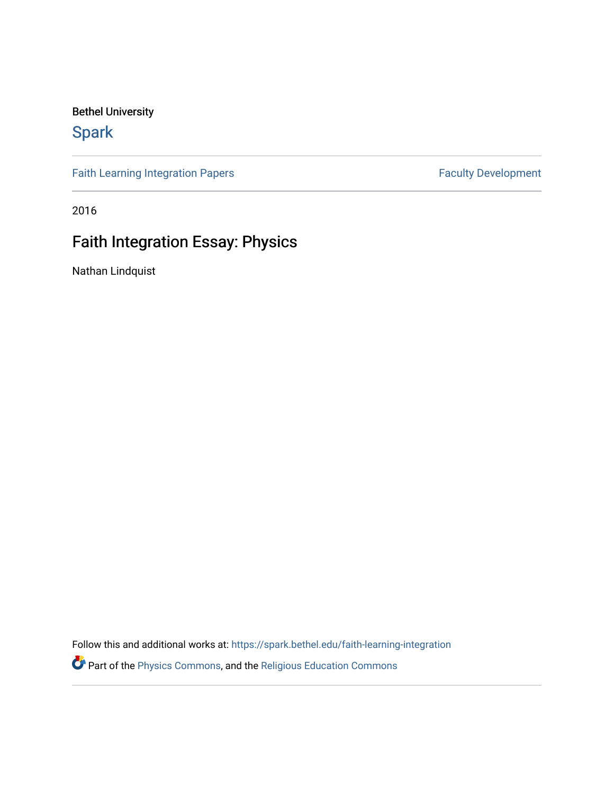Bethel University

## **Spark**

[Faith Learning Integration Papers](https://spark.bethel.edu/faith-learning-integration) **Faculty Development** Faculty Development

2016

## Faith Integration Essay: Physics

Nathan Lindquist

Follow this and additional works at: [https://spark.bethel.edu/faith-learning-integration](https://spark.bethel.edu/faith-learning-integration?utm_source=spark.bethel.edu%2Ffaith-learning-integration%2F2&utm_medium=PDF&utm_campaign=PDFCoverPages)

Part of the [Physics Commons](http://network.bepress.com/hgg/discipline/193?utm_source=spark.bethel.edu%2Ffaith-learning-integration%2F2&utm_medium=PDF&utm_campaign=PDFCoverPages), and the [Religious Education Commons](http://network.bepress.com/hgg/discipline/1414?utm_source=spark.bethel.edu%2Ffaith-learning-integration%2F2&utm_medium=PDF&utm_campaign=PDFCoverPages)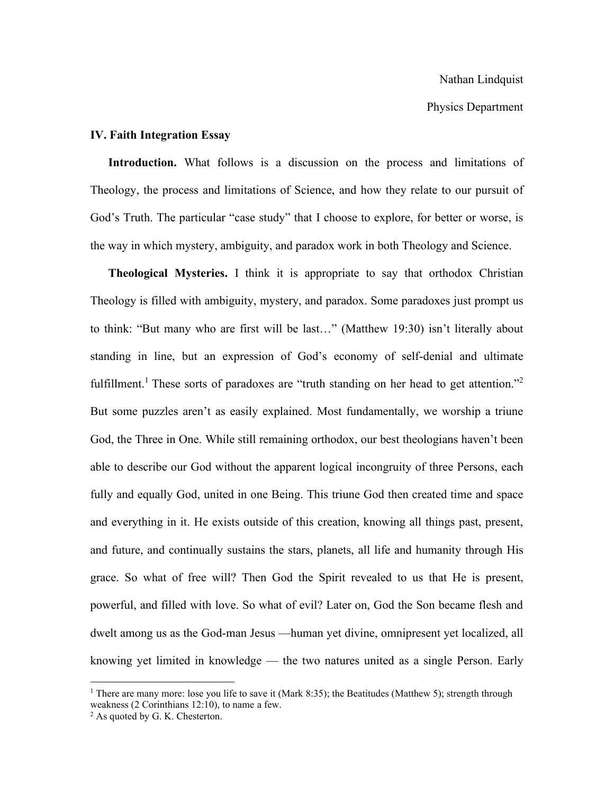Physics Department

## **IV. Faith Integration Essay**

**Introduction.** What follows is a discussion on the process and limitations of Theology, the process and limitations of Science, and how they relate to our pursuit of God's Truth. The particular "case study" that I choose to explore, for better or worse, is the way in which mystery, ambiguity, and paradox work in both Theology and Science.

**Theological Mysteries.** I think it is appropriate to say that orthodox Christian Theology is filled with ambiguity, mystery, and paradox. Some paradoxes just prompt us to think: "But many who are first will be last…" (Matthew 19:30) isn't literally about standing in line, but an expression of God's economy of self-denial and ultimate fulfillment.<sup>1</sup> These sorts of paradoxes are "truth standing on her head to get attention."<sup>2</sup> But some puzzles aren't as easily explained. Most fundamentally, we worship a triune God, the Three in One. While still remaining orthodox, our best theologians haven't been able to describe our God without the apparent logical incongruity of three Persons, each fully and equally God, united in one Being. This triune God then created time and space and everything in it. He exists outside of this creation, knowing all things past, present, and future, and continually sustains the stars, planets, all life and humanity through His grace. So what of free will? Then God the Spirit revealed to us that He is present, powerful, and filled with love. So what of evil? Later on, God the Son became flesh and dwelt among us as the God-man Jesus —human yet divine, omnipresent yet localized, all knowing yet limited in knowledge — the two natures united as a single Person. Early

<sup>&</sup>lt;sup>1</sup> There are many more: lose you life to save it (Mark 8:35); the Beatitudes (Matthew 5); strength through weakness (2 Corinthians 12:10), to name a few.

 $2$  As quoted by G. K. Chesterton.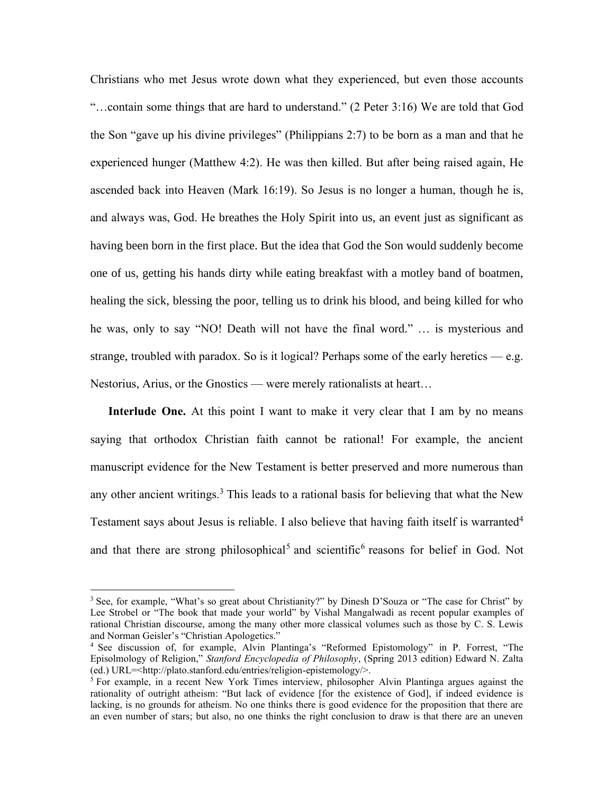Christians who met Jesus wrote down what they experienced, but even those accounts "…contain some things that are hard to understand." (2 Peter 3:16) We are told that God the Son "gave up his divine privileges" (Philippians 2:7) to be born as a man and that he experienced hunger (Matthew 4:2). He was then killed. But after being raised again, He ascended back into Heaven (Mark 16:19). So Jesus is no longer a human, though he is, and always was, God. He breathes the Holy Spirit into us, an event just as significant as having been born in the first place. But the idea that God the Son would suddenly become one of us, getting his hands dirty while eating breakfast with a motley band of boatmen, healing the sick, blessing the poor, telling us to drink his blood, and being killed for who he was, only to say "NO! Death will not have the final word." … is mysterious and strange, troubled with paradox. So is it logical? Perhaps some of the early heretics  $-$  e.g. Nestorius, Arius, or the Gnostics — were merely rationalists at heart…

**Interlude One.** At this point I want to make it very clear that I am by no means saying that orthodox Christian faith cannot be rational! For example, the ancient manuscript evidence for the New Testament is better preserved and more numerous than any other ancient writings.<sup>3</sup> This leads to a rational basis for believing that what the New Testament says about Jesus is reliable. I also believe that having faith itself is warranted<sup>4</sup> and that there are strong philosophical<sup>5</sup> and scientific<sup>6</sup> reasons for belief in God. Not

<sup>&</sup>lt;sup>3</sup> See, for example, "What's so great about Christianity?" by Dinesh D'Souza or "The case for Christ" by Lee Strobel or "The book that made your world" by Vishal Mangalwadi as recent popular examples of rational Christian discourse, among the many other more classical volumes such as those by C. S. Lewis and Norman Geisler's "Christian Apologetics."

<sup>4</sup> See discussion of, for example, Alvin Plantinga's "Reformed Epistomology" in P. Forrest, "The Episolmology of Religion," *Stanford Encyclopedia of Philosophy*, (Spring 2013 edition) Edward N. Zalta (ed.) URL=<http://plato.stanford.edu/entries/religion-epistemology/>.

 $<sup>5</sup>$  For example, in a recent New York Times interview, philosopher Alvin Plantinga argues against the</sup> rationality of outright atheism: "But lack of evidence [for the existence of God], if indeed evidence is lacking, is no grounds for atheism. No one thinks there is good evidence for the proposition that there are an even number of stars; but also, no one thinks the right conclusion to draw is that there are an uneven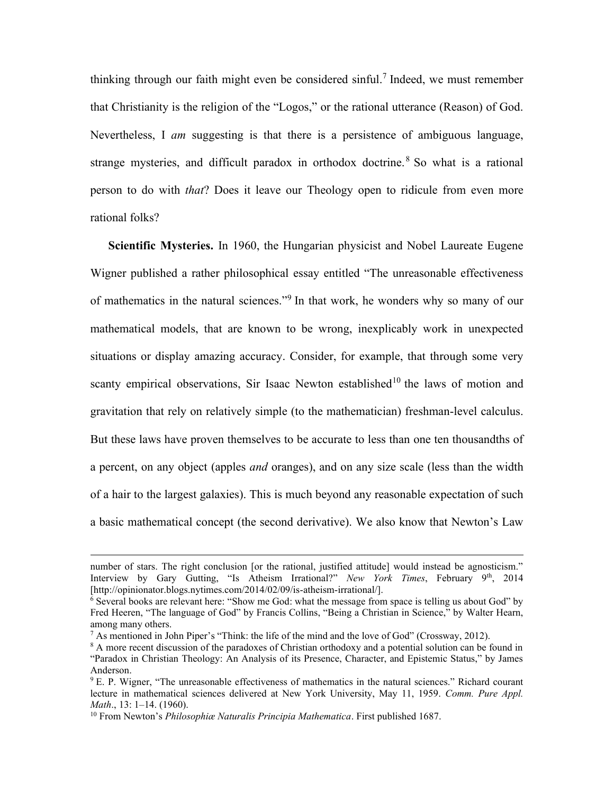thinking through our faith might even be considered sinful.<sup>7</sup> Indeed, we must remember that Christianity is the religion of the "Logos," or the rational utterance (Reason) of God. Nevertheless, I *am* suggesting is that there is a persistence of ambiguous language, strange mysteries, and difficult paradox in orthodox doctrine.<sup>8</sup> So what is a rational person to do with *that*? Does it leave our Theology open to ridicule from even more rational folks?

**Scientific Mysteries.** In 1960, the Hungarian physicist and Nobel Laureate Eugene Wigner published a rather philosophical essay entitled "The unreasonable effectiveness of mathematics in the natural sciences."<sup>9</sup> In that work, he wonders why so many of our mathematical models, that are known to be wrong, inexplicably work in unexpected situations or display amazing accuracy. Consider, for example, that through some very scanty empirical observations, Sir Isaac Newton established<sup>10</sup> the laws of motion and gravitation that rely on relatively simple (to the mathematician) freshman-level calculus. But these laws have proven themselves to be accurate to less than one ten thousandths of a percent, on any object (apples *and* oranges), and on any size scale (less than the width of a hair to the largest galaxies). This is much beyond any reasonable expectation of such a basic mathematical concept (the second derivative). We also know that Newton's Law

number of stars. The right conclusion [or the rational, justified attitude] would instead be agnosticism." Interview by Gary Gutting, "Is Atheism Irrational?" *New York Times*, February 9<sup>th</sup>, 2014 [http://opinionator.blogs.nytimes.com/2014/02/09/is-atheism-irrational/].

 $\overline{6}$  Several books are relevant here: "Show me God: what the message from space is telling us about God" by Fred Heeren, "The language of God" by Francis Collins, "Being a Christian in Science," by Walter Hearn, among many others.

<sup>&</sup>lt;sup>7</sup> As mentioned in John Piper's "Think: the life of the mind and the love of God" (Crossway, 2012).

<sup>&</sup>lt;sup>8</sup> A more recent discussion of the paradoxes of Christian orthodoxy and a potential solution can be found in "Paradox in Christian Theology: An Analysis of its Presence, Character, and Epistemic Status," by James Anderson.

 $9$  E. P. Wigner, "The unreasonable effectiveness of mathematics in the natural sciences." Richard courant lecture in mathematical sciences delivered at New York University, May 11, 1959. *Comm. Pure Appl. Math*., 13: 1–14. (1960).

<sup>10</sup> From Newton's *Philosophiæ Naturalis Principia Mathematica*. First published 1687.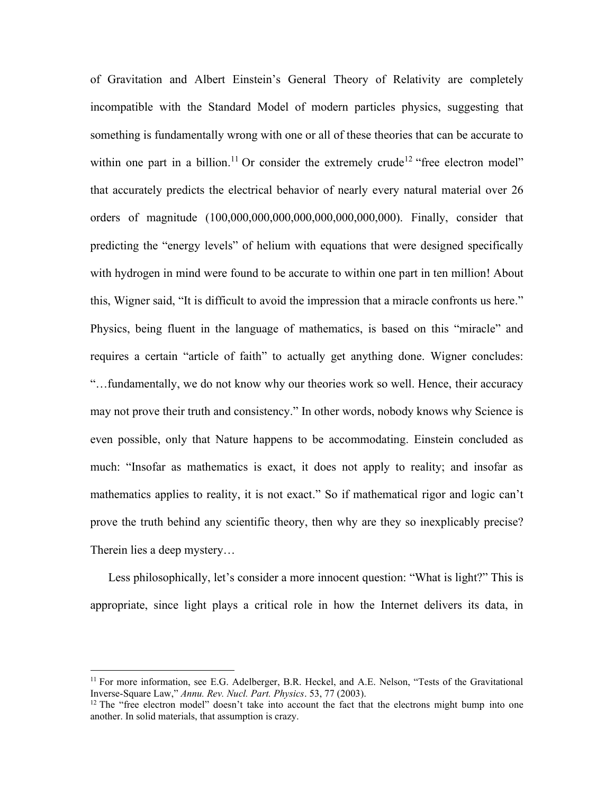of Gravitation and Albert Einstein's General Theory of Relativity are completely incompatible with the Standard Model of modern particles physics, suggesting that something is fundamentally wrong with one or all of these theories that can be accurate to within one part in a billion.<sup>11</sup> Or consider the extremely crude<sup>12</sup> "free electron model" that accurately predicts the electrical behavior of nearly every natural material over 26 orders of magnitude (100,000,000,000,000,000,000,000,000). Finally, consider that predicting the "energy levels" of helium with equations that were designed specifically with hydrogen in mind were found to be accurate to within one part in ten million! About this, Wigner said, "It is difficult to avoid the impression that a miracle confronts us here." Physics, being fluent in the language of mathematics, is based on this "miracle" and requires a certain "article of faith" to actually get anything done. Wigner concludes: "…fundamentally, we do not know why our theories work so well. Hence, their accuracy may not prove their truth and consistency." In other words, nobody knows why Science is even possible, only that Nature happens to be accommodating. Einstein concluded as much: "Insofar as mathematics is exact, it does not apply to reality; and insofar as mathematics applies to reality, it is not exact." So if mathematical rigor and logic can't prove the truth behind any scientific theory, then why are they so inexplicably precise? Therein lies a deep mystery…

Less philosophically, let's consider a more innocent question: "What is light?" This is appropriate, since light plays a critical role in how the Internet delivers its data, in

<sup>&</sup>lt;sup>11</sup> For more information, see E.G. Adelberger, B.R. Heckel, and A.E. Nelson, "Tests of the Gravitational Inverse-Square Law," *Annu. Rev. Nucl. Part. Physics*. 53, 77 (2003).

<sup>&</sup>lt;sup>12</sup> The "free electron model" doesn't take into account the fact that the electrons might bump into one another. In solid materials, that assumption is crazy.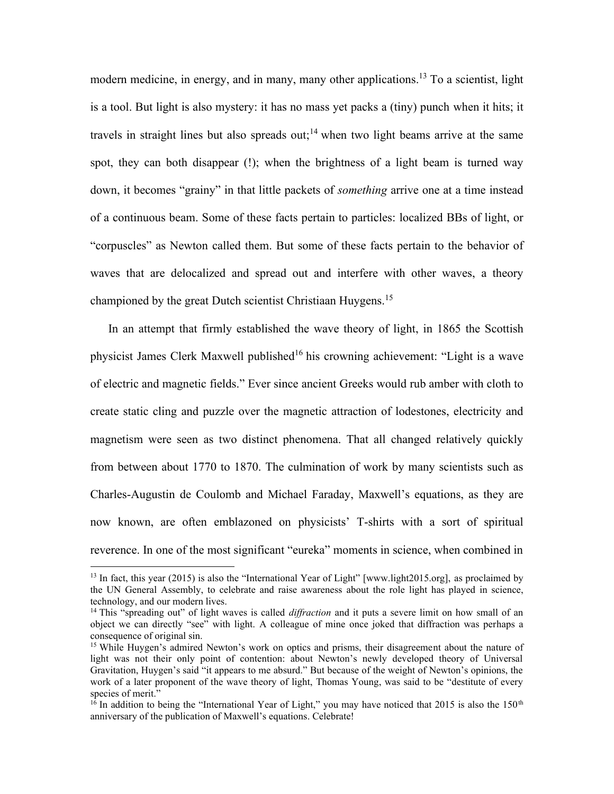modern medicine, in energy, and in many, many other applications.<sup>13</sup> To a scientist, light is a tool. But light is also mystery: it has no mass yet packs a (tiny) punch when it hits; it travels in straight lines but also spreads out;<sup>14</sup> when two light beams arrive at the same spot, they can both disappear (!); when the brightness of a light beam is turned way down, it becomes "grainy" in that little packets of *something* arrive one at a time instead of a continuous beam. Some of these facts pertain to particles: localized BBs of light, or "corpuscles" as Newton called them. But some of these facts pertain to the behavior of waves that are delocalized and spread out and interfere with other waves, a theory championed by the great Dutch scientist Christiaan Huygens.<sup>15</sup>

In an attempt that firmly established the wave theory of light, in 1865 the Scottish physicist James Clerk Maxwell published<sup>16</sup> his crowning achievement: "Light is a wave of electric and magnetic fields." Ever since ancient Greeks would rub amber with cloth to create static cling and puzzle over the magnetic attraction of lodestones, electricity and magnetism were seen as two distinct phenomena. That all changed relatively quickly from between about 1770 to 1870. The culmination of work by many scientists such as Charles-Augustin de Coulomb and Michael Faraday, Maxwell's equations, as they are now known, are often emblazoned on physicists' T-shirts with a sort of spiritual reverence. In one of the most significant "eureka" moments in science, when combined in

<sup>&</sup>lt;sup>13</sup> In fact, this year (2015) is also the "International Year of Light" [www.light2015.org], as proclaimed by the UN General Assembly, to celebrate and raise awareness about the role light has played in science, technology, and our modern lives.

<sup>&</sup>lt;sup>14</sup> This "spreading out" of light waves is called *diffraction* and it puts a severe limit on how small of an object we can directly "see" with light. A colleague of mine once joked that diffraction was perhaps a consequence of original sin.

<sup>&</sup>lt;sup>15</sup> While Huygen's admired Newton's work on optics and prisms, their disagreement about the nature of light was not their only point of contention: about Newton's newly developed theory of Universal Gravitation, Huygen's said "it appears to me absurd." But because of the weight of Newton's opinions, the work of a later proponent of the wave theory of light, Thomas Young, was said to be "destitute of every species of merit."

<sup>&</sup>lt;sup>16</sup> In addition to being the "International Year of Light," you may have noticed that 2015 is also the 150<sup>th</sup> anniversary of the publication of Maxwell's equations. Celebrate!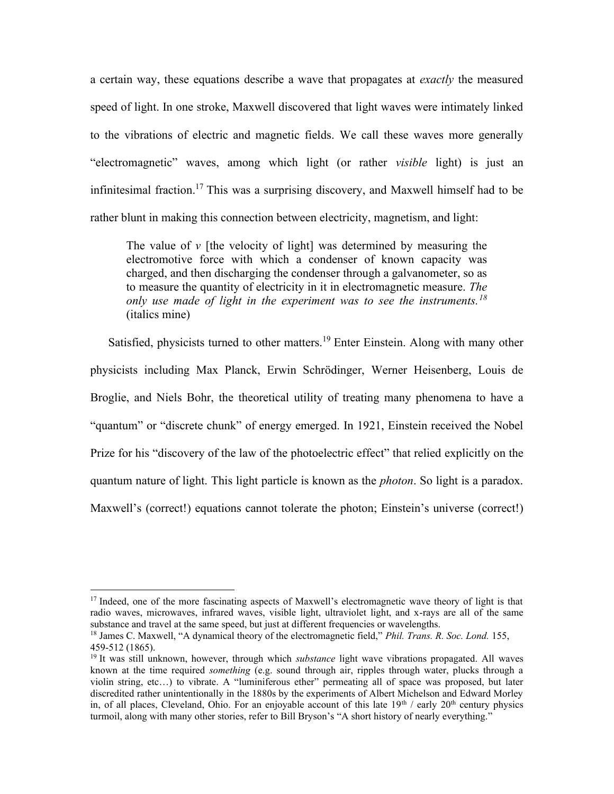a certain way, these equations describe a wave that propagates at *exactly* the measured speed of light. In one stroke, Maxwell discovered that light waves were intimately linked to the vibrations of electric and magnetic fields. We call these waves more generally "electromagnetic" waves, among which light (or rather *visible* light) is just an infinitesimal fraction. <sup>17</sup> This was a surprising discovery, and Maxwell himself had to be rather blunt in making this connection between electricity, magnetism, and light:

The value of *v* [the velocity of light] was determined by measuring the electromotive force with which a condenser of known capacity was charged, and then discharging the condenser through a galvanometer, so as to measure the quantity of electricity in it in electromagnetic measure. *The only use made of light in the experiment was to see the instruments.<sup>18</sup>* (italics mine)

Satisfied, physicists turned to other matters.<sup>19</sup> Enter Einstein. Along with many other physicists including Max Planck, Erwin Schrödinger, Werner Heisenberg, Louis de Broglie, and Niels Bohr, the theoretical utility of treating many phenomena to have a "quantum" or "discrete chunk" of energy emerged. In 1921, Einstein received the Nobel Prize for his "discovery of the law of the photoelectric effect" that relied explicitly on the quantum nature of light. This light particle is known as the *photon*. So light is a paradox. Maxwell's (correct!) equations cannot tolerate the photon; Einstein's universe (correct!)

<sup>&</sup>lt;sup>17</sup> Indeed, one of the more fascinating aspects of Maxwell's electromagnetic wave theory of light is that radio waves, microwaves, infrared waves, visible light, ultraviolet light, and x-rays are all of the same substance and travel at the same speed, but just at different frequencies or wavelengths.

<sup>18</sup> James C. Maxwell, "A dynamical theory of the electromagnetic field," *Phil. Trans. R. Soc. Lond.* 155, 459-512 (1865).

<sup>19</sup> It was still unknown, however, through which *substance* light wave vibrations propagated. All waves known at the time required *something* (e.g. sound through air, ripples through water, plucks through a violin string, etc…) to vibrate. A "luminiferous ether" permeating all of space was proposed, but later discredited rather unintentionally in the 1880s by the experiments of Albert Michelson and Edward Morley in, of all places, Cleveland, Ohio. For an enjoyable account of this late 19<sup>th</sup> / early 20<sup>th</sup> century physics turmoil, along with many other stories, refer to Bill Bryson's "A short history of nearly everything."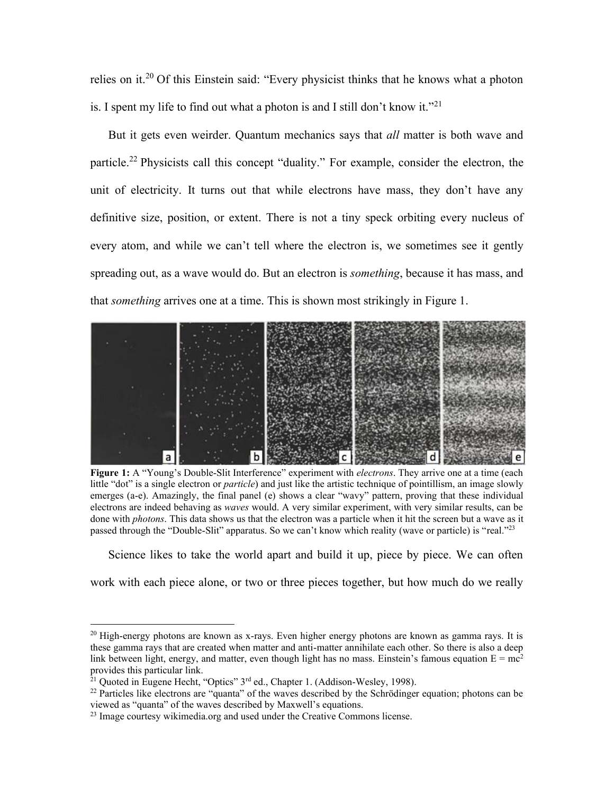relies on it.<sup>20</sup> Of this Einstein said: "Every physicist thinks that he knows what a photon is. I spent my life to find out what a photon is and I still don't know it."<sup>21</sup>

But it gets even weirder. Quantum mechanics says that *all* matter is both wave and particle.<sup>22</sup> Physicists call this concept "duality." For example, consider the electron, the unit of electricity. It turns out that while electrons have mass, they don't have any definitive size, position, or extent. There is not a tiny speck orbiting every nucleus of every atom, and while we can't tell where the electron is, we sometimes see it gently spreading out, as a wave would do. But an electron is *something*, because it has mass, and that *something* arrives one at a time. This is shown most strikingly in Figure 1.



**Figure 1:** A "Young's Double-Slit Interference" experiment with *electrons*. They arrive one at a time (each little "dot" is a single electron or *particle*) and just like the artistic technique of pointillism, an image slowly emerges (a-e). Amazingly, the final panel (e) shows a clear "wavy" pattern, proving that these individual electrons are indeed behaving as *waves* would. A very similar experiment, with very similar results, can be done with *photons*. This data shows us that the electron was a particle when it hit the screen but a wave as it passed through the "Double-Slit" apparatus. So we can't know which reality (wave or particle) is "real."<sup>23</sup>

Science likes to take the world apart and build it up, piece by piece. We can often

work with each piece alone, or two or three pieces together, but how much do we really

<sup>&</sup>lt;sup>20</sup> High-energy photons are known as x-rays. Even higher energy photons are known as gamma rays. It is these gamma rays that are created when matter and anti-matter annihilate each other. So there is also a deep link between light, energy, and matter, even though light has no mass. Einstein's famous equation  $E = mc^2$ provides this particular link.

 $^{21}$  Quoted in Eugene Hecht, "Optics" 3<sup>rd</sup> ed., Chapter 1. (Addison-Wesley, 1998).

<sup>&</sup>lt;sup>22</sup> Particles like electrons are "quanta" of the waves described by the Schrödinger equation; photons can be viewed as "quanta" of the waves described by Maxwell's equations.

<sup>&</sup>lt;sup>23</sup> Image courtesy wikimedia.org and used under the Creative Commons license.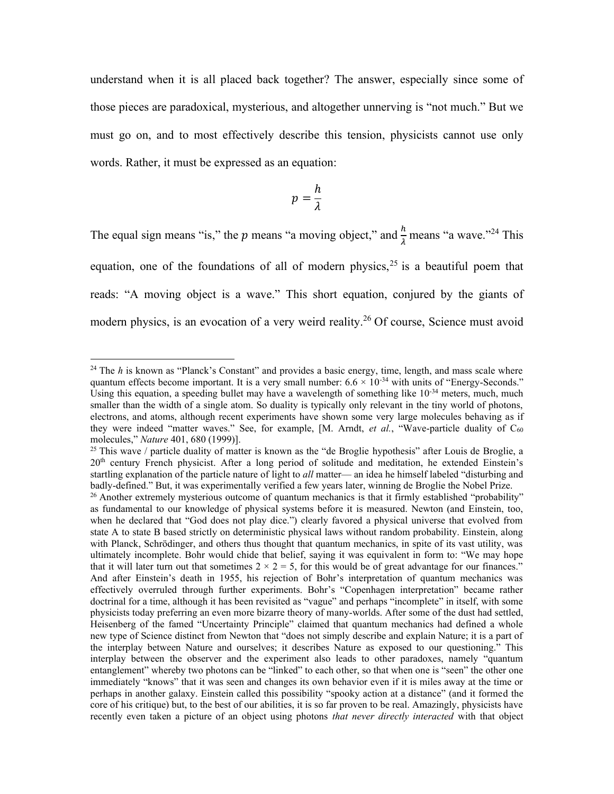understand when it is all placed back together? The answer, especially since some of those pieces are paradoxical, mysterious, and altogether unnerving is "not much." But we must go on, and to most effectively describe this tension, physicists cannot use only words. Rather, it must be expressed as an equation:

$$
p=\frac{h}{\lambda}
$$

The equal sign means "is," the  $p$  means "a moving object," and  $\frac{h}{\lambda}$  means "a wave."<sup>24</sup> This equation, one of the foundations of all of modern physics, $2<sup>5</sup>$  is a beautiful poem that reads: "A moving object is a wave." This short equation, conjured by the giants of modern physics, is an evocation of a very weird reality. <sup>26</sup> Of course, Science must avoid

<sup>&</sup>lt;sup>24</sup> The *h* is known as "Planck's Constant" and provides a basic energy, time, length, and mass scale where quantum effects become important. It is a very small number:  $6.6 \times 10^{-34}$  with units of "Energy-Seconds." Using this equation, a speeding bullet may have a wavelength of something like  $10^{-34}$  meters, much, much smaller than the width of a single atom. So duality is typically only relevant in the tiny world of photons, electrons, and atoms, although recent experiments have shown some very large molecules behaving as if they were indeed "matter waves." See, for example, [M. Arndt, *et al.*, "Wave-particle duality of C<sub>60</sub> molecules," *Nature* 401, 680 (1999)].

<sup>&</sup>lt;sup>25</sup> This wave / particle duality of matter is known as the "de Broglie hypothesis" after Louis de Broglie, a 20<sup>th</sup> century French physicist. After a long period of solitude and meditation, he extended Einstein's startling explanation of the particle nature of light to *all* matter— an idea he himself labeled "disturbing and badly-defined." But, it was experimentally verified a few years later, winning de Broglie the Nobel Prize.

 $^{26}$  Another extremely mysterious outcome of quantum mechanics is that it firmly established "probability" as fundamental to our knowledge of physical systems before it is measured. Newton (and Einstein, too, when he declared that "God does not play dice.") clearly favored a physical universe that evolved from state A to state B based strictly on deterministic physical laws without random probability. Einstein, along with Planck, Schrödinger, and others thus thought that quantum mechanics, in spite of its vast utility, was ultimately incomplete. Bohr would chide that belief, saying it was equivalent in form to: "We may hope that it will later turn out that sometimes  $2 \times 2 = 5$ , for this would be of great advantage for our finances." And after Einstein's death in 1955, his rejection of Bohr's interpretation of quantum mechanics was effectively overruled through further experiments. Bohr's "Copenhagen interpretation" became rather doctrinal for a time, although it has been revisited as "vague" and perhaps "incomplete" in itself, with some physicists today preferring an even more bizarre theory of many-worlds. After some of the dust had settled, Heisenberg of the famed "Uncertainty Principle" claimed that quantum mechanics had defined a whole new type of Science distinct from Newton that "does not simply describe and explain Nature; it is a part of the interplay between Nature and ourselves; it describes Nature as exposed to our questioning." This interplay between the observer and the experiment also leads to other paradoxes, namely "quantum entanglement" whereby two photons can be "linked" to each other, so that when one is "seen" the other one immediately "knows" that it was seen and changes its own behavior even if it is miles away at the time or perhaps in another galaxy. Einstein called this possibility "spooky action at a distance" (and it formed the core of his critique) but, to the best of our abilities, it is so far proven to be real. Amazingly, physicists have recently even taken a picture of an object using photons *that never directly interacted* with that object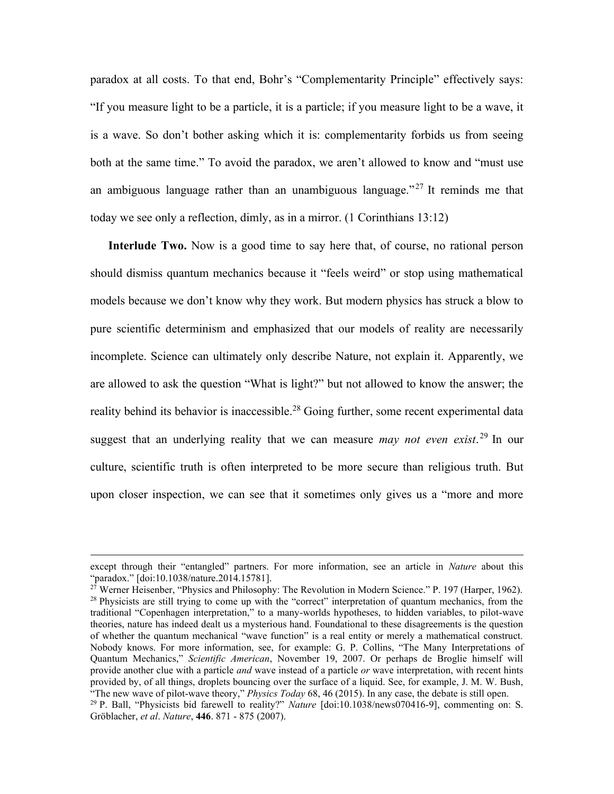paradox at all costs. To that end, Bohr's "Complementarity Principle" effectively says: "If you measure light to be a particle, it is a particle; if you measure light to be a wave, it is a wave. So don't bother asking which it is: complementarity forbids us from seeing both at the same time." To avoid the paradox, we aren't allowed to know and "must use an ambiguous language rather than an unambiguous language."<sup>27</sup> It reminds me that today we see only a reflection, dimly, as in a mirror. (1 Corinthians 13:12)

**Interlude Two.** Now is a good time to say here that, of course, no rational person should dismiss quantum mechanics because it "feels weird" or stop using mathematical models because we don't know why they work. But modern physics has struck a blow to pure scientific determinism and emphasized that our models of reality are necessarily incomplete. Science can ultimately only describe Nature, not explain it. Apparently, we are allowed to ask the question "What is light?" but not allowed to know the answer; the reality behind its behavior is inaccessible.<sup>28</sup> Going further, some recent experimental data suggest that an underlying reality that we can measure *may not even exist*. <sup>29</sup> In our culture, scientific truth is often interpreted to be more secure than religious truth. But upon closer inspection, we can see that it sometimes only gives us a "more and more

except through their "entangled" partners. For more information, see an article in *Nature* about this "paradox." [doi:10.1038/nature.2014.15781].

 $2^7$  Werner Heisenber, "Physics and Philosophy: The Revolution in Modern Science." P. 197 (Harper, 1962). <sup>28</sup> Physicists are still trying to come up with the "correct" interpretation of quantum mechanics, from the traditional "Copenhagen interpretation," to a many-worlds hypotheses, to hidden variables, to pilot-wave theories, nature has indeed dealt us a mysterious hand. Foundational to these disagreements is the question of whether the quantum mechanical "wave function" is a real entity or merely a mathematical construct. Nobody knows. For more information, see, for example: G. P. Collins, "The Many Interpretations of Quantum Mechanics," *Scientific American*, November 19, 2007. Or perhaps de Broglie himself will provide another clue with a particle *and* wave instead of a particle *or* wave interpretation, with recent hints provided by, of all things, droplets bouncing over the surface of a liquid. See, for example, J. M. W. Bush, "The new wave of pilot-wave theory," *Physics Today* 68, 46 (2015). In any case, the debate is still open. <sup>29</sup> P. Ball, "Physicists bid farewell to reality?" *Nature* [doi:10.1038/news070416-9], commenting on: S. Gröblacher, *et al*. *Nature*, **446**. 871 - 875 (2007).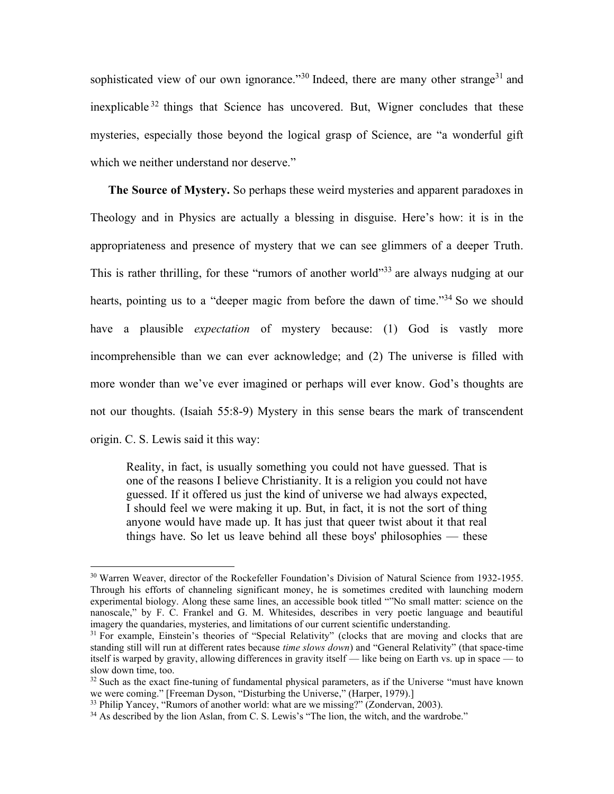sophisticated view of our own ignorance."<sup>30</sup> Indeed, there are many other strange<sup>31</sup> and inexplicable <sup>32</sup> things that Science has uncovered. But, Wigner concludes that these mysteries, especially those beyond the logical grasp of Science, are "a wonderful gift which we neither understand nor deserve."

**The Source of Mystery.** So perhaps these weird mysteries and apparent paradoxes in Theology and in Physics are actually a blessing in disguise. Here's how: it is in the appropriateness and presence of mystery that we can see glimmers of a deeper Truth. This is rather thrilling, for these "rumors of another world"<sup>33</sup> are always nudging at our hearts, pointing us to a "deeper magic from before the dawn of time."<sup>34</sup> So we should have a plausible *expectation* of mystery because: (1) God is vastly more incomprehensible than we can ever acknowledge; and (2) The universe is filled with more wonder than we've ever imagined or perhaps will ever know. God's thoughts are not our thoughts. (Isaiah 55:8-9) Mystery in this sense bears the mark of transcendent origin. C. S. Lewis said it this way:

Reality, in fact, is usually something you could not have guessed. That is one of the reasons I believe Christianity. It is a religion you could not have guessed. If it offered us just the kind of universe we had always expected, I should feel we were making it up. But, in fact, it is not the sort of thing anyone would have made up. It has just that queer twist about it that real things have. So let us leave behind all these boys' philosophies — these

<sup>&</sup>lt;sup>30</sup> Warren Weaver, director of the Rockefeller Foundation's Division of Natural Science from 1932-1955. Through his efforts of channeling significant money, he is sometimes credited with launching modern experimental biology. Along these same lines, an accessible book titled ""No small matter: science on the nanoscale," by F. C. Frankel and G. M. Whitesides, describes in very poetic language and beautiful imagery the quandaries, mysteries, and limitations of our current scientific understanding.

<sup>&</sup>lt;sup>31</sup> For example, Einstein's theories of "Special Relativity" (clocks that are moving and clocks that are standing still will run at different rates because *time slows down*) and "General Relativity" (that space-time itself is warped by gravity, allowing differences in gravity itself — like being on Earth vs. up in space — to slow down time, too.

 $32$  Such as the exact fine-tuning of fundamental physical parameters, as if the Universe "must have known" we were coming." [Freeman Dyson, "Disturbing the Universe," (Harper, 1979).]

<sup>&</sup>lt;sup>33</sup> Philip Yancey, "Rumors of another world: what are we missing?" (Zondervan, 2003).

<sup>&</sup>lt;sup>34</sup> As described by the lion Aslan, from C. S. Lewis's "The lion, the witch, and the wardrobe."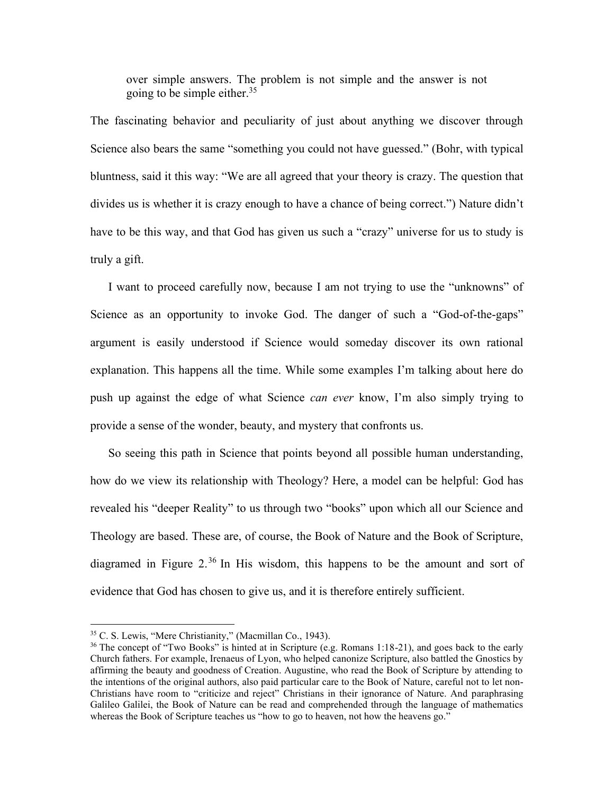over simple answers. The problem is not simple and the answer is not going to be simple either.<sup>35</sup>

The fascinating behavior and peculiarity of just about anything we discover through Science also bears the same "something you could not have guessed." (Bohr, with typical bluntness, said it this way: "We are all agreed that your theory is crazy. The question that divides us is whether it is crazy enough to have a chance of being correct.") Nature didn't have to be this way, and that God has given us such a "crazy" universe for us to study is truly a gift.

I want to proceed carefully now, because I am not trying to use the "unknowns" of Science as an opportunity to invoke God. The danger of such a "God-of-the-gaps" argument is easily understood if Science would someday discover its own rational explanation. This happens all the time. While some examples I'm talking about here do push up against the edge of what Science *can ever* know, I'm also simply trying to provide a sense of the wonder, beauty, and mystery that confronts us.

So seeing this path in Science that points beyond all possible human understanding, how do we view its relationship with Theology? Here, a model can be helpful: God has revealed his "deeper Reality" to us through two "books" upon which all our Science and Theology are based. These are, of course, the Book of Nature and the Book of Scripture, diagramed in Figure 2.<sup>36</sup> In His wisdom, this happens to be the amount and sort of evidence that God has chosen to give us, and it is therefore entirely sufficient.

<sup>35</sup> C. S. Lewis, "Mere Christianity," (Macmillan Co., 1943).

<sup>&</sup>lt;sup>36</sup> The concept of "Two Books" is hinted at in Scripture (e.g. Romans 1:18-21), and goes back to the early Church fathers. For example, Irenaeus of Lyon, who helped canonize Scripture, also battled the Gnostics by affirming the beauty and goodness of Creation. Augustine, who read the Book of Scripture by attending to the intentions of the original authors, also paid particular care to the Book of Nature, careful not to let non-Christians have room to "criticize and reject" Christians in their ignorance of Nature. And paraphrasing Galileo Galilei, the Book of Nature can be read and comprehended through the language of mathematics whereas the Book of Scripture teaches us "how to go to heaven, not how the heavens go."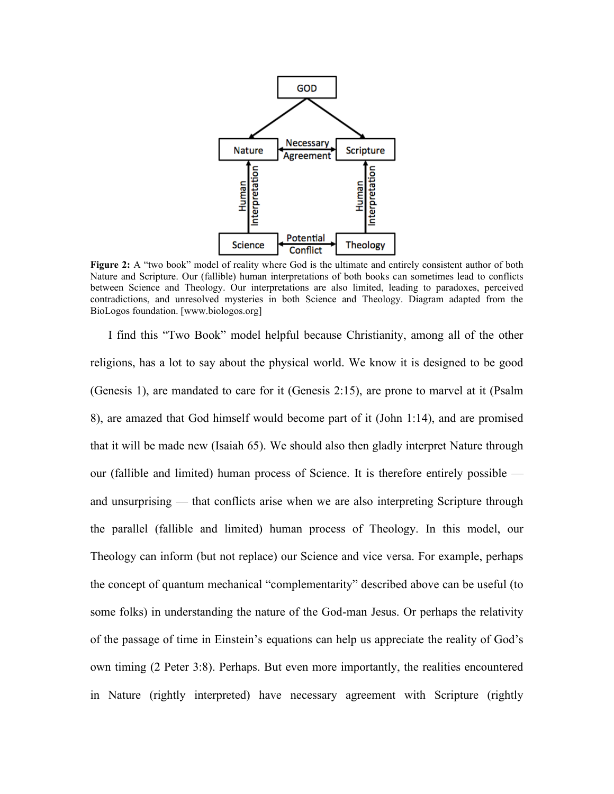

**Figure 2:** A "two book" model of reality where God is the ultimate and entirely consistent author of both Nature and Scripture. Our (fallible) human interpretations of both books can sometimes lead to conflicts between Science and Theology. Our interpretations are also limited, leading to paradoxes, perceived contradictions, and unresolved mysteries in both Science and Theology. Diagram adapted from the BioLogos foundation. [www.biologos.org]

I find this "Two Book" model helpful because Christianity, among all of the other religions, has a lot to say about the physical world. We know it is designed to be good (Genesis 1), are mandated to care for it (Genesis 2:15), are prone to marvel at it (Psalm 8), are amazed that God himself would become part of it (John 1:14), and are promised that it will be made new (Isaiah 65). We should also then gladly interpret Nature through our (fallible and limited) human process of Science. It is therefore entirely possible and unsurprising — that conflicts arise when we are also interpreting Scripture through the parallel (fallible and limited) human process of Theology. In this model, our Theology can inform (but not replace) our Science and vice versa. For example, perhaps the concept of quantum mechanical "complementarity" described above can be useful (to some folks) in understanding the nature of the God-man Jesus. Or perhaps the relativity of the passage of time in Einstein's equations can help us appreciate the reality of God's own timing (2 Peter 3:8). Perhaps. But even more importantly, the realities encountered in Nature (rightly interpreted) have necessary agreement with Scripture (rightly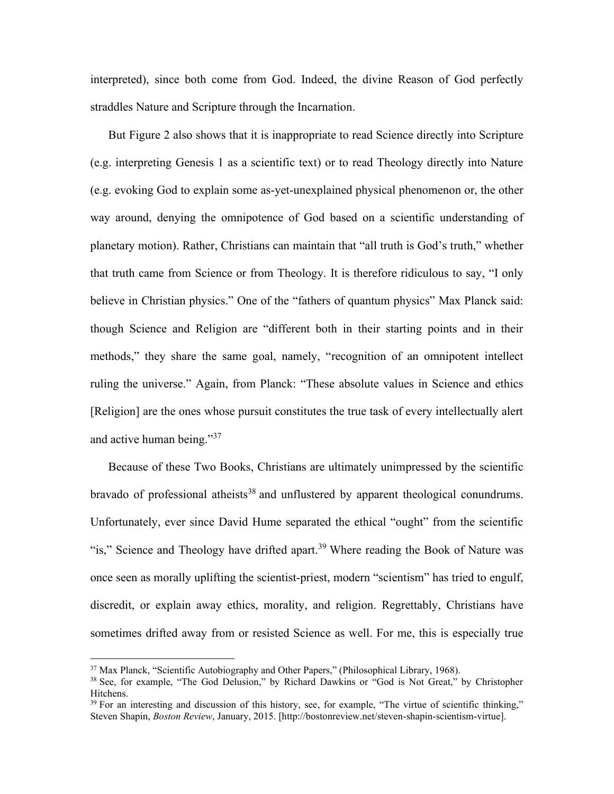interpreted), since both come from God. Indeed, the divine Reason of God perfectly straddles Nature and Scripture through the Incarnation.

But Figure 2 also shows that it is inappropriate to read Science directly into Scripture (e.g. interpreting Genesis 1 as a scientific text) or to read Theology directly into Nature (e.g. evoking God to explain some as-yet-unexplained physical phenomenon or, the other way around, denying the omnipotence of God based on a scientific understanding of planetary motion). Rather, Christians can maintain that "all truth is God's truth," whether that truth came from Science or from Theology. It is therefore ridiculous to say, "I only believe in Christian physics." One of the "fathers of quantum physics" Max Planck said: though Science and Religion are "different both in their starting points and in their methods," they share the same goal, namely, "recognition of an omnipotent intellect ruling the universe." Again, from Planck: "These absolute values in Science and ethics [Religion] are the ones whose pursuit constitutes the true task of every intellectually alert and active human being."<sup>37</sup>

Because of these Two Books, Christians are ultimately unimpressed by the scientific bravado of professional atheists<sup>38</sup> and unflustered by apparent theological conundrums. Unfortunately, ever since David Hume separated the ethical "ought" from the scientific "is," Science and Theology have drifted apart.<sup>39</sup> Where reading the Book of Nature was once seen as morally uplifting the scientist-priest, modern "scientism" has tried to engulf, discredit, or explain away ethics, morality, and religion. Regrettably, Christians have sometimes drifted away from or resisted Science as well. For me, this is especially true

<sup>&</sup>lt;sup>37</sup> Max Planck, "Scientific Autobiography and Other Papers," (Philosophical Library, 1968).

<sup>&</sup>lt;sup>38</sup> See, for example, "The God Delusion," by Richard Dawkins or "God is Not Great," by Christopher Hitchens.

<sup>&</sup>lt;sup>39</sup> For an interesting and discussion of this history, see, for example, "The virtue of scientific thinking," Steven Shapin, *Boston Review*, January, 2015. [http://bostonreview.net/steven-shapin-scientism-virtue].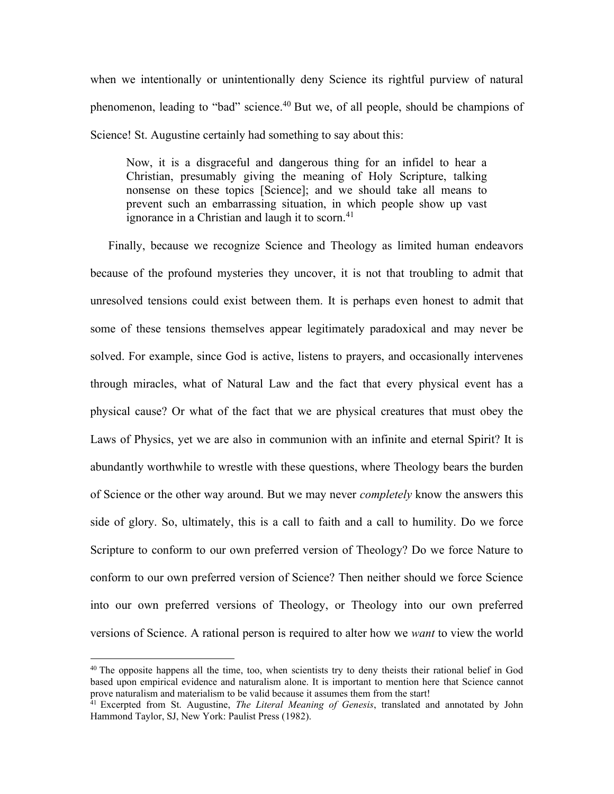when we intentionally or unintentionally deny Science its rightful purview of natural phenomenon, leading to "bad" science.<sup>40</sup> But we, of all people, should be champions of Science! St. Augustine certainly had something to say about this:

Now, it is a disgraceful and dangerous thing for an infidel to hear a Christian, presumably giving the meaning of Holy Scripture, talking nonsense on these topics [Science]; and we should take all means to prevent such an embarrassing situation, in which people show up vast ignorance in a Christian and laugh it to scorn.<sup>41</sup>

Finally, because we recognize Science and Theology as limited human endeavors because of the profound mysteries they uncover, it is not that troubling to admit that unresolved tensions could exist between them. It is perhaps even honest to admit that some of these tensions themselves appear legitimately paradoxical and may never be solved. For example, since God is active, listens to prayers, and occasionally intervenes through miracles, what of Natural Law and the fact that every physical event has a physical cause? Or what of the fact that we are physical creatures that must obey the Laws of Physics, yet we are also in communion with an infinite and eternal Spirit? It is abundantly worthwhile to wrestle with these questions, where Theology bears the burden of Science or the other way around. But we may never *completely* know the answers this side of glory. So, ultimately, this is a call to faith and a call to humility. Do we force Scripture to conform to our own preferred version of Theology? Do we force Nature to conform to our own preferred version of Science? Then neither should we force Science into our own preferred versions of Theology, or Theology into our own preferred versions of Science. A rational person is required to alter how we *want* to view the world

 $40$  The opposite happens all the time, too, when scientists try to deny theists their rational belief in God based upon empirical evidence and naturalism alone. It is important to mention here that Science cannot prove naturalism and materialism to be valid because it assumes them from the start!

<sup>41</sup> Excerpted from St. Augustine, *The Literal Meaning of Genesis*, translated and annotated by John Hammond Taylor, SJ, New York: Paulist Press (1982).